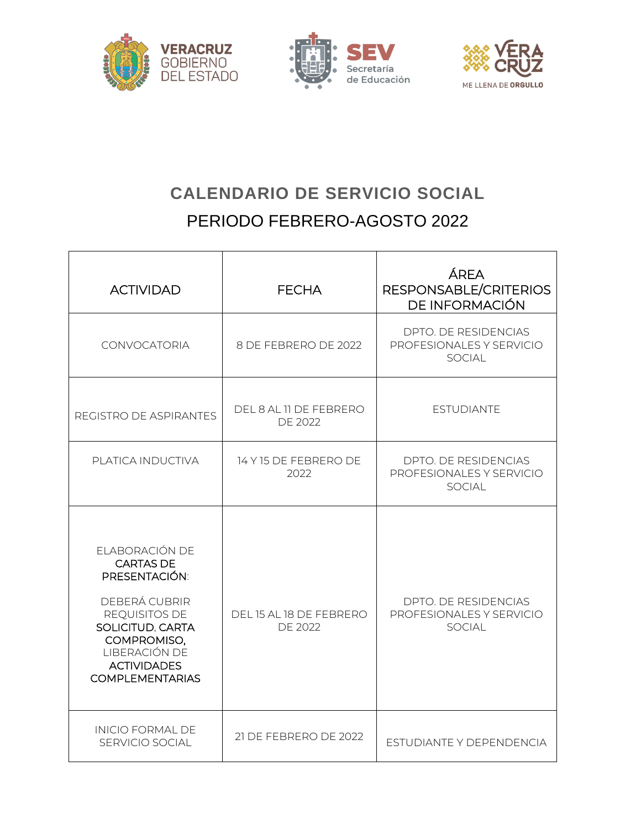





## **CALENDARIO DE SERVICIO SOCIAL** PERIODO FEBRERO-AGOSTO 2022

| <b>ACTIVIDAD</b>                                                                                                                                                                          | <b>FECHA</b>                              | ÁREA<br>RESPONSABLE/CRITERIOS<br>DE INFORMACIÓN                   |
|-------------------------------------------------------------------------------------------------------------------------------------------------------------------------------------------|-------------------------------------------|-------------------------------------------------------------------|
| CONVOCATORIA                                                                                                                                                                              | 8 DE FEBRERO DE 2022                      | DPTO. DE RESIDENCIAS<br>PROFESIONALES Y SERVICIO<br><b>SOCIAL</b> |
| REGISTRO DE ASPIRANTES                                                                                                                                                                    | DEL 8 AL 11 DE FEBRERO<br><b>DE 2022</b>  | <b>ESTUDIANTE</b>                                                 |
| PLATICA INDUCTIVA                                                                                                                                                                         | 14 Y 15 DE FEBRERO DE<br>2022             | DPTO. DE RESIDENCIAS<br>PROFESIONALES Y SERVICIO<br><b>SOCIAL</b> |
| ELABORACIÓN DE<br><b>CARTAS DE</b><br>PRESENTACIÓN:<br>DEBERÁ CUBRIR<br>REQUISITOS DE<br>SOLICITUD, CARTA<br>COMPROMISO,<br>LIBERACIÓN DE<br><b>ACTIVIDADES</b><br><b>COMPLEMENTARIAS</b> | DEL 15 AL 18 DE FEBRERO<br><b>DE 2022</b> | DPTO. DE RESIDENCIAS<br>PROFESIONALES Y SERVICIO<br>SOCIAL        |
| <b>INICIO FORMAL DE</b><br>SERVICIO SOCIAL                                                                                                                                                | 21 DE FEBRERO DE 2022                     | ESTUDIANTE Y DEPENDENCIA                                          |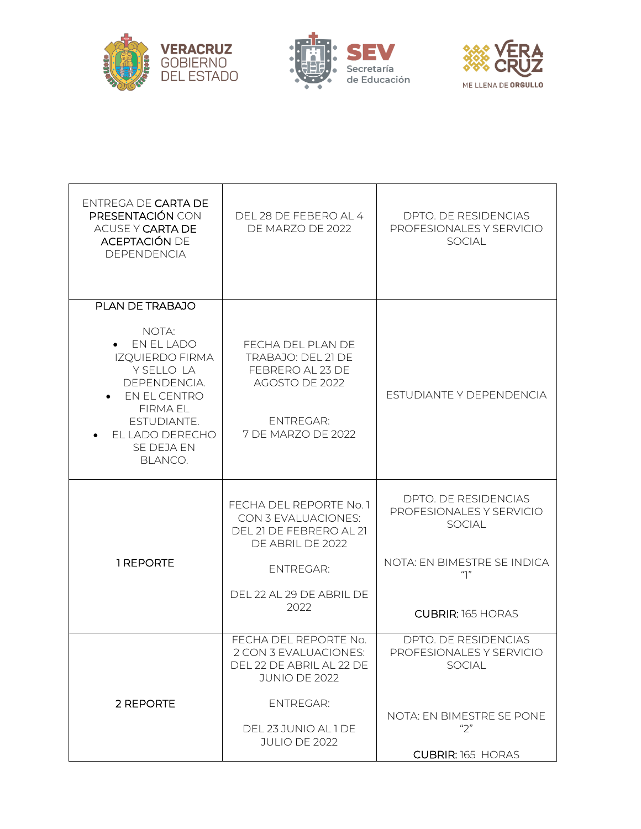





| ENTREGA DE CARTA DE<br>PRESENTACIÓN CON<br>ACUSE Y CARTA DE<br><b>ACEPTACIÓN DE</b><br>DEPENDENCIA                                                                           | DEL 28 DE FEBERO AL 4<br>DE MARZO DE 2022                                                                               | DPTO. DE RESIDENCIAS<br>PROFESIONALES Y SERVICIO<br><b>SOCIAL</b>        |
|------------------------------------------------------------------------------------------------------------------------------------------------------------------------------|-------------------------------------------------------------------------------------------------------------------------|--------------------------------------------------------------------------|
| PLAN DE TRABAJO                                                                                                                                                              |                                                                                                                         |                                                                          |
| NOTA:<br>$\bullet$ EN EL LADO<br><b>IZQUIERDO FIRMA</b><br>Y SELLO LA<br>DEPENDENCIA.<br>EN EL CENTRO<br>FIRMA EL<br>ESTUDIANTE.<br>EL LADO DERECHO<br>SE DEJA EN<br>BLANCO. | FECHA DEL PLAN DE<br>TRABAJO: DEL 21 DE<br>FEBRERO AL 23 DE<br>AGOSTO DE 2022<br><b>ENTREGAR:</b><br>7 DE MARZO DE 2022 | ESTUDIANTE Y DEPENDENCIA                                                 |
|                                                                                                                                                                              | FECHA DEL REPORTE No. 1<br>CON 3 EVALUACIONES:<br>DEL 21 DE FEBRERO AL 21<br>DE ABRIL DE 2022                           | DPTO. DE RESIDENCIAS<br>PROFESIONALES Y SERVICIO<br><b>SOCIAL</b>        |
| 1 REPORTE                                                                                                                                                                    | <b>ENTREGAR:</b>                                                                                                        | NOTA: EN BIMESTRE SE INDICA<br>"1"                                       |
|                                                                                                                                                                              | DEL 22 AL 29 DE ABRIL DE<br>2022                                                                                        | <b>CUBRIR: 165 HORAS</b>                                                 |
|                                                                                                                                                                              | FECHA DEL REPORTE No.<br>2 CON 3 EVALUACIONES:<br>DEL 22 DE ABRIL AL 22 DE<br><b>JUNIO DE 2022</b>                      | <b>DPTO. DE RESIDENCIAS</b><br>PROFESIONALES Y SERVICIO<br><b>SOCIAL</b> |
| 2 REPORTE                                                                                                                                                                    | <b>ENTREGAR:</b><br>DEL 23 JUNIO AL 1 DE<br><b>JULIO DE 2022</b>                                                        | NOTA: EN BIMESTRE SE PONE<br>"2"                                         |
|                                                                                                                                                                              |                                                                                                                         | <b>CUBRIR: 165 HORAS</b>                                                 |